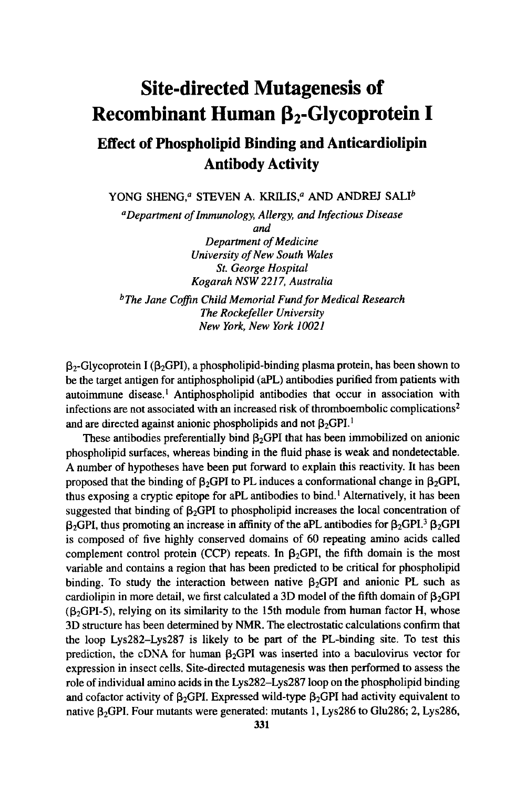## **Site-directed Mutagenesis of Recombinant Human β<sub>2</sub>-Glycoprotein I**

## **Effect of Phospholipid Binding and Anticardiolipin Antibody Activity**

YONG SHENG.<sup>a</sup> STEVEN A. KRILIS,<sup>a</sup> AND ANDREJ SALI<sup>b</sup>

*aDepartment of Immunology, Allergy, and Infectious Disease and Department of Medicine University of New South Wales St. George Hospital Kogarah NSW 221 7, Australia* 

*bThe Jane Cofin Child Memorial Fund for Medical Research The Rockefeller University New York, New York I0021* 

 $\beta_2$ -Glycoprotein I ( $\beta_2$ GPI), a phospholipid-binding plasma protein, has been shown to be the target antigen for antiphospholipid (aPL) antibodies purified from patients with autoimmune disease.' Antiphospholipid antibodies that occur in association with infections are not associated with an increased risk of thromboembolic complications<sup>2</sup> and are directed against anionic phospholipids and not  $\beta_2 GPI$ .<sup>1</sup>

These antibodies preferentially bind  $\beta_2$ GPI that has been immobilized on anionic phospholipid surfaces, whereas binding in the fluid phase is weak and nondetectable. A number of hypotheses have been put forward to explain this reactivity. It has been proposed that the binding of  $\beta_2$ GPI to PL induces a conformational change in  $\beta_2$ GPI, thus exposing a cryptic epitope for aPL antibodies to bind.' Alternatively, it has been suggested that binding of  $\beta_2$ GPI to phospholipid increases the local concentration of  $\beta_2$ GPI, thus promoting an increase in affinity of the aPL antibodies for  $\beta_2$ GPI.<sup>3</sup>  $\beta_2$ GPI is composed of five highly conserved domains of 60 repeating **amino** acids called complement control protein (CCP) repeats. In  $\beta_2$ GPI, the fifth domain is the most variable and contains a region that has been predicted to be critical for phospholipid binding. To study the interaction between native  $\beta_2$ GPI and anionic PL such as cardiolipin in more detail, we first calculated a 3D model of the fifth domain of  $\beta_2$ GPI  $(0.6)$ GPI-5), relying on its similarity to the 15th module from human factor H, whose 3D structure has been determined by NMR. The electrostatic calculations confirm that the loop Lys282-Lys287 is likely to be part of the PL-binding site. To test this prediction, the cDNA for human  $\beta_2$ GPI was inserted into a baculovirus vector for expression in insect cells. Site-directed mutagenesis was then performed to assess the role of individual amino acids in the Lys282-Lys287 loop on the phospholipid binding and cofactor activity of  $\beta_2$ GPI. Expressed wild-type  $\beta_2$ GPI had activity equivalent to native  $\beta_2$ GPI. Four mutants were generated: mutants 1, Lys286 to Glu286; 2, Lys286,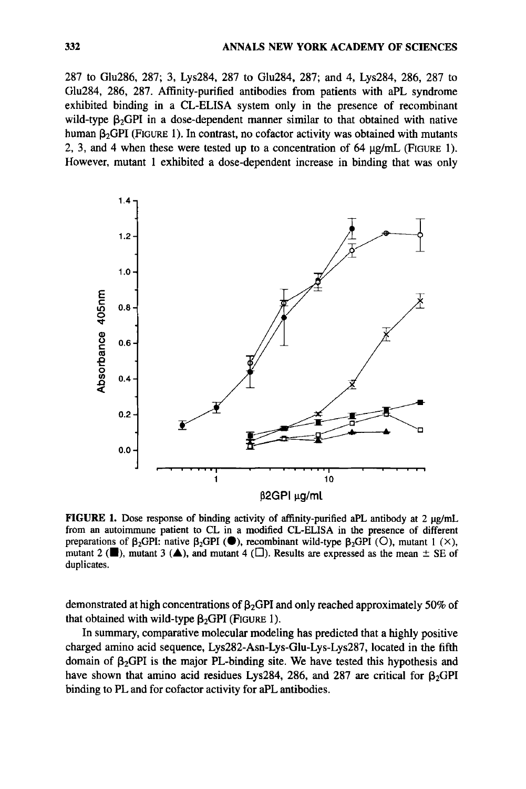287 to Glu286, 287; 3, Lys284, 287 to Glu284, 287; and 4, Lys284, 286, 287 to Glu284, 286, 287. Affinity-purified antibodies from patients with aPL syndrome exhibited binding in a CL-ELISA system only in the presence of recombinant wild-type  $\beta_2$ GPI in a dose-dependent manner similar to that obtained with native human  $\beta_2$ GPI (FIGURE 1). In contrast, no cofactor activity was obtained with mutants 2, 3, and 4 when these were tested up to a concentration of  $64 \mu g/mL$  (FIGURE 1). However, mutant 1 exhibited a dose-dependent increase in binding that was only



FIGURE 1. Dose response of binding activity of affinity-purified aPL antibody at 2 µg/mL from an autoimmune patient to **CL** in a modified CL-ELISA in the presence of different preparations of  $\beta_2$ GPI: native  $\beta_2$ GPI **(** $\bullet$ ), recombinant wild-type  $\beta_2$ GPI ( $\circ$ ), mutant 1 ( $\times$ ), mutant 2 ( $\blacksquare$ ), mutant 3 ( $\blacktriangle$ ), and mutant 4 ( $\square$ ). Results are expressed as the mean  $\pm$  SE of duplicates.

demonstrated at high concentrations of  $\beta_2$ GPI and only reached approximately 50% of that obtained with wild-type  $\beta_2$ GPI (FIGURE 1).

In summary, comparative molecular modeling has predicted that a highly positive charged amino acid sequence, **Lys282-Asn-Lys-Glu-Lys-Lys287,** located in the fifth domain of  $\beta_2$ GPI is the major PL-binding site. We have tested this hypothesis and have shown that amino acid residues Lys284, 286, and 287 are critical for  $\beta_2$ GPI binding to PL and for cofactor activity for aPL antibodies.